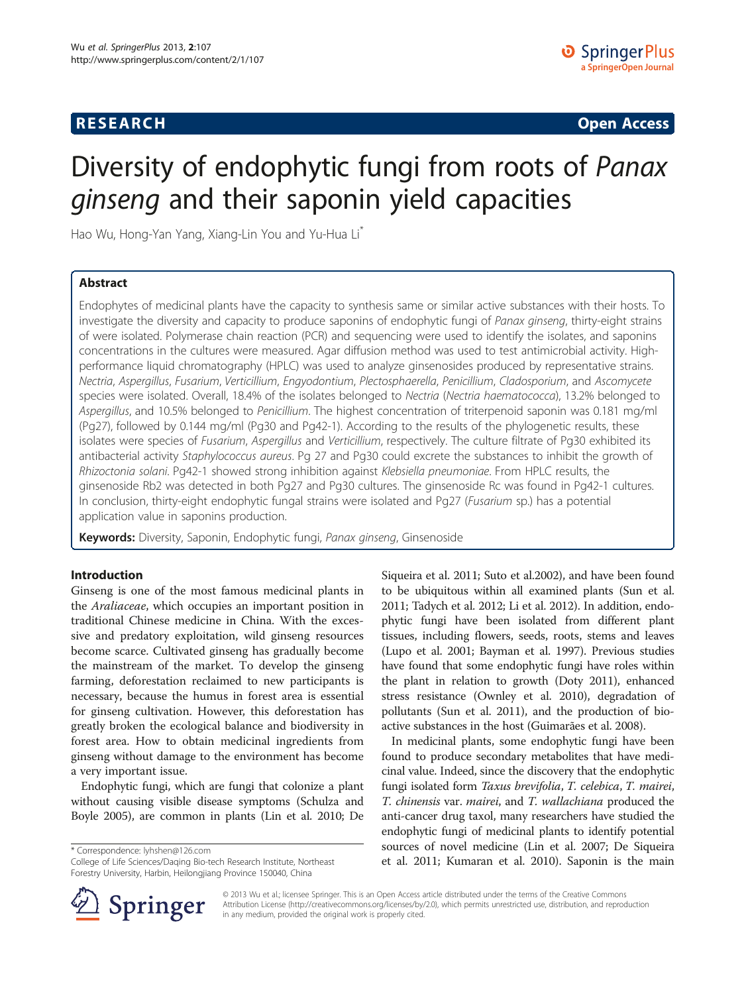# **RESEARCH CHINESE ARCH CHINESE ARCH CHINESE ARCH <b>CHINESE ARCH**

# Diversity of endophytic fungi from roots of Panax ginseng and their saponin yield capacities

Hao Wu, Hong-Yan Yang, Xiang-Lin You and Yu-Hua Li<sup>\*</sup>

# Abstract

Endophytes of medicinal plants have the capacity to synthesis same or similar active substances with their hosts. To investigate the diversity and capacity to produce saponins of endophytic fungi of Panax ginseng, thirty-eight strains of were isolated. Polymerase chain reaction (PCR) and sequencing were used to identify the isolates, and saponins concentrations in the cultures were measured. Agar diffusion method was used to test antimicrobial activity. Highperformance liquid chromatography (HPLC) was used to analyze ginsenosides produced by representative strains. Nectria, Aspergillus, Fusarium, Verticillium, Engyodontium, Plectosphaerella, Penicillium, Cladosporium, and Ascomycete species were isolated. Overall, 18.4% of the isolates belonged to Nectria (Nectria haematococca), 13.2% belonged to Aspergillus, and 10.5% belonged to Penicillium. The highest concentration of triterpenoid saponin was 0.181 mg/ml (Pg27), followed by 0.144 mg/ml (Pg30 and Pg42-1). According to the results of the phylogenetic results, these isolates were species of Fusarium, Aspergillus and Verticillium, respectively. The culture filtrate of Pg30 exhibited its antibacterial activity Staphylococcus aureus. Pg 27 and Pg30 could excrete the substances to inhibit the growth of Rhizoctonia solani. Pg42-1 showed strong inhibition against Klebsiella pneumoniae. From HPLC results, the ginsenoside Rb2 was detected in both Pg27 and Pg30 cultures. The ginsenoside Rc was found in Pg42-1 cultures. In conclusion, thirty-eight endophytic fungal strains were isolated and Pg27 (Fusarium sp.) has a potential application value in saponins production.

Keywords: Diversity, Saponin, Endophytic fungi, Panax ginseng, Ginsenoside

### Introduction

Ginseng is one of the most famous medicinal plants in the Araliaceae, which occupies an important position in traditional Chinese medicine in China. With the excessive and predatory exploitation, wild ginseng resources become scarce. Cultivated ginseng has gradually become the mainstream of the market. To develop the ginseng farming, deforestation reclaimed to new participants is necessary, because the humus in forest area is essential for ginseng cultivation. However, this deforestation has greatly broken the ecological balance and biodiversity in forest area. How to obtain medicinal ingredients from ginseng without damage to the environment has become a very important issue.

Endophytic fungi, which are fungi that colonize a plant without causing visible disease symptoms (Schulza and Boyle [2005](#page-7-0)), are common in plants (Lin et al. [2010;](#page-7-0) De

\* Correspondence: [lyhshen@126.com](mailto:lyhshen@126.com)

College of Life Sciences/Daqing Bio-tech Research Institute, Northeast Forestry University, Harbin, Heilongjiang Province 150040, China

Siqueira et al. [2011](#page-7-0); Suto et al.[2002](#page-7-0)), and have been found to be ubiquitous within all examined plants (Sun et al. [2011;](#page-7-0) Tadych et al. [2012;](#page-7-0) Li et al. [2012](#page-7-0)). In addition, endophytic fungi have been isolated from different plant tissues, including flowers, seeds, roots, stems and leaves (Lupo et al. [2001;](#page-7-0) Bayman et al. [1997](#page-7-0)). Previous studies have found that some endophytic fungi have roles within the plant in relation to growth (Doty [2011\)](#page-7-0), enhanced stress resistance (Ownley et al. [2010\)](#page-7-0), degradation of pollutants (Sun et al. [2011\)](#page-7-0), and the production of bioactive substances in the host (Guimarães et al. [2008\)](#page-7-0).

In medicinal plants, some endophytic fungi have been found to produce secondary metabolites that have medicinal value. Indeed, since the discovery that the endophytic fungi isolated form Taxus brevifolia, T. celebica, T. mairei, T. chinensis var. mairei, and T. wallachiana produced the anti-cancer drug taxol, many researchers have studied the endophytic fungi of medicinal plants to identify potential sources of novel medicine (Lin et al. [2007;](#page-7-0) De Siqueira et al. [2011;](#page-7-0) Kumaran et al. [2010](#page-7-0)). Saponin is the main



© 2013 Wu et al.; licensee Springer. This is an Open Access article distributed under the terms of the Creative Commons Attribution License [\(http://creativecommons.org/licenses/by/2.0\)](http://creativecommons.org/licenses/by/2.0), which permits unrestricted use, distribution, and reproduction in any medium, provided the original work is properly cited.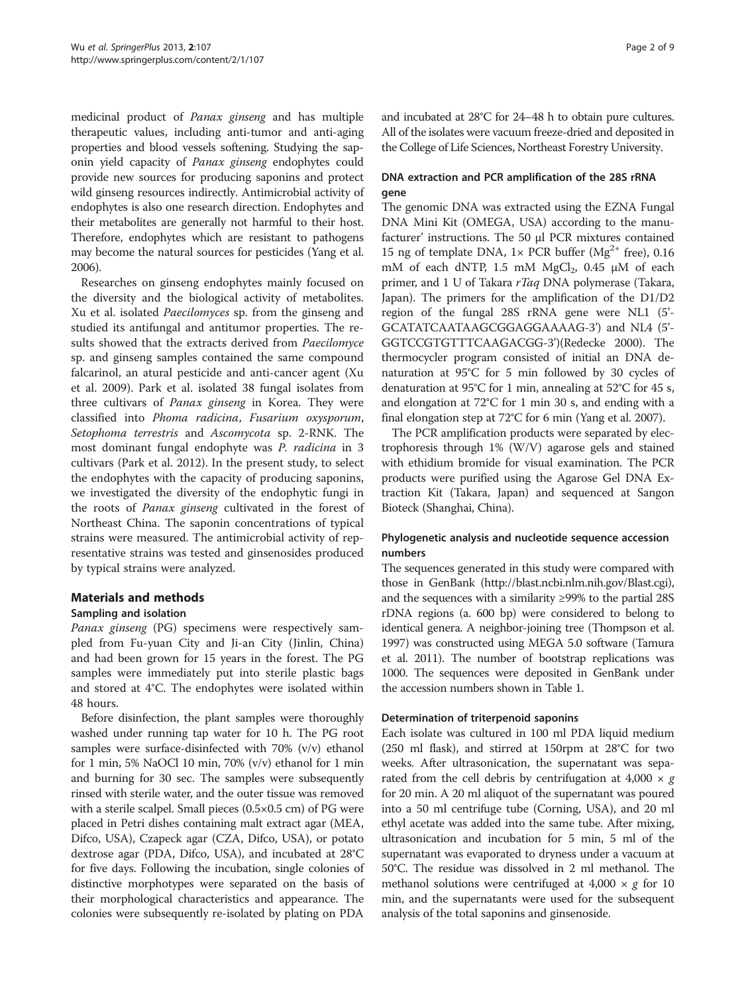medicinal product of Panax ginseng and has multiple therapeutic values, including anti-tumor and anti-aging properties and blood vessels softening. Studying the saponin yield capacity of Panax ginseng endophytes could provide new sources for producing saponins and protect wild ginseng resources indirectly. Antimicrobial activity of endophytes is also one research direction. Endophytes and their metabolites are generally not harmful to their host. Therefore, endophytes which are resistant to pathogens may become the natural sources for pesticides (Yang et al. [2006\)](#page-8-0).

Researches on ginseng endophytes mainly focused on the diversity and the biological activity of metabolites. Xu et al. isolated *Paecilomyces* sp. from the ginseng and studied its antifungal and antitumor properties. The results showed that the extracts derived from Paecilomyce sp. and ginseng samples contained the same compound falcarinol, an atural pesticide and anti-cancer agent (Xu et al. [2009](#page-8-0)). Park et al. isolated 38 fungal isolates from three cultivars of Panax ginseng in Korea. They were classified into Phoma radicina, Fusarium oxysporum, Setophoma terrestris and Ascomycota sp. 2-RNK. The most dominant fungal endophyte was P. radicina in 3 cultivars (Park et al. [2012\)](#page-7-0). In the present study, to select the endophytes with the capacity of producing saponins, we investigated the diversity of the endophytic fungi in the roots of Panax ginseng cultivated in the forest of Northeast China. The saponin concentrations of typical strains were measured. The antimicrobial activity of representative strains was tested and ginsenosides produced by typical strains were analyzed.

# Materials and methods

# Sampling and isolation

Panax ginseng (PG) specimens were respectively sampled from Fu-yuan City and Ji-an City (Jinlin, China) and had been grown for 15 years in the forest. The PG samples were immediately put into sterile plastic bags and stored at 4°C. The endophytes were isolated within 48 hours.

Before disinfection, the plant samples were thoroughly washed under running tap water for 10 h. The PG root samples were surface-disinfected with 70% (v/v) ethanol for 1 min, 5% NaOCl 10 min, 70% (v/v) ethanol for 1 min and burning for 30 sec. The samples were subsequently rinsed with sterile water, and the outer tissue was removed with a sterile scalpel. Small pieces (0.5×0.5 cm) of PG were placed in Petri dishes containing malt extract agar (MEA, Difco, USA), Czapeck agar (CZA, Difco, USA), or potato dextrose agar (PDA, Difco, USA), and incubated at 28°C for five days. Following the incubation, single colonies of distinctive morphotypes were separated on the basis of their morphological characteristics and appearance. The colonies were subsequently re-isolated by plating on PDA

and incubated at 28°C for 24–48 h to obtain pure cultures. All of the isolates were vacuum freeze-dried and deposited in the College of Life Sciences, Northeast Forestry University.

# DNA extraction and PCR amplification of the 28S rRNA gene

The genomic DNA was extracted using the EZNA Fungal DNA Mini Kit (OMEGA, USA) according to the manufacturer' instructions. The 50 μl PCR mixtures contained 15 ng of template DNA,  $1 \times$  PCR buffer (Mg<sup>2+</sup> free), 0.16 mM of each dNTP, 1.5 mM  $MgCl<sub>2</sub>$ , 0.45  $\mu$ M of each primer, and 1 U of Takara rTaq DNA polymerase (Takara, Japan). The primers for the amplification of the D1/D2 region of the fungal 28S rRNA gene were NL1 (5'- GCATATCAATAAGCGGAGGAAAAG-3') and NL4 (5'- GGTCCGTGTTTCAAGACGG-3')(Redecke [2000](#page-7-0)). The thermocycler program consisted of initial an DNA denaturation at 95°C for 5 min followed by 30 cycles of denaturation at 95°C for 1 min, annealing at 52°C for 45 s, and elongation at 72°C for 1 min 30 s, and ending with a final elongation step at 72°C for 6 min (Yang et al. [2007](#page-8-0)).

The PCR amplification products were separated by electrophoresis through 1% (W/V) agarose gels and stained with ethidium bromide for visual examination. The PCR products were purified using the Agarose Gel DNA Extraction Kit (Takara, Japan) and sequenced at Sangon Bioteck (Shanghai, China).

# Phylogenetic analysis and nucleotide sequence accession numbers

The sequences generated in this study were compared with those in GenBank [\(http://blast.ncbi.nlm.nih.gov/Blast.cgi](http://blast.ncbi.nlm.nih.gov/Blast.cgi)), and the sequences with a similarity ≥99% to the partial 28S rDNA regions (a. 600 bp) were considered to belong to identical genera. A neighbor-joining tree (Thompson et al. [1997\)](#page-8-0) was constructed using MEGA 5.0 software (Tamura et al. [2011\)](#page-8-0). The number of bootstrap replications was 1000. The sequences were deposited in GenBank under the accession numbers shown in Table [1](#page-2-0).

# Determination of triterpenoid saponins

Each isolate was cultured in 100 ml PDA liquid medium (250 ml flask), and stirred at 150rpm at 28°C for two weeks. After ultrasonication, the supernatant was separated from the cell debris by centrifugation at  $4,000 \times g$ for 20 min. A 20 ml aliquot of the supernatant was poured into a 50 ml centrifuge tube (Corning, USA), and 20 ml ethyl acetate was added into the same tube. After mixing, ultrasonication and incubation for 5 min, 5 ml of the supernatant was evaporated to dryness under a vacuum at 50°C. The residue was dissolved in 2 ml methanol. The methanol solutions were centrifuged at  $4,000 \times g$  for 10 min, and the supernatants were used for the subsequent analysis of the total saponins and ginsenoside.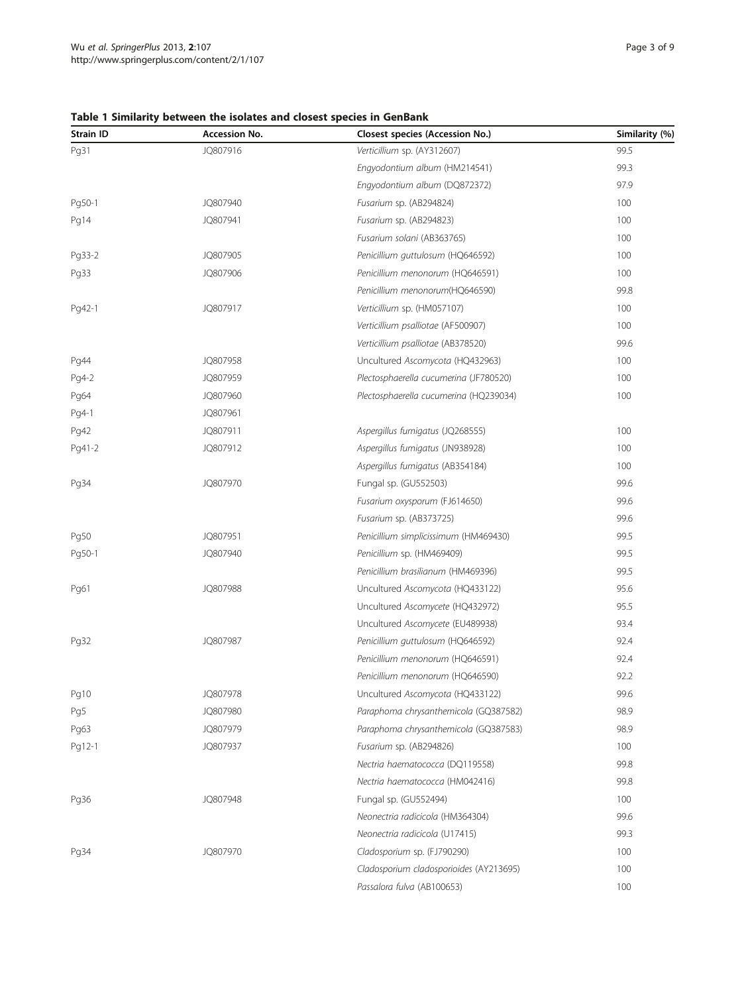# <span id="page-2-0"></span>Table 1 Similarity between the isolates and closest species in GenBank

| <b>Strain ID</b> | <b>Accession No.</b> | Closest species (Accession No.)         | Similarity (%) |
|------------------|----------------------|-----------------------------------------|----------------|
| Pg31             | JQ807916             | Verticillium sp. (AY312607)             | 99.5           |
|                  |                      | Engyodontium album (HM214541)           | 99.3           |
|                  |                      | Engyodontium album (DQ872372)           | 97.9           |
| Pg50-1           | JQ807940             | Fusarium sp. (AB294824)                 | 100            |
| Pg14             | JQ807941             | Fusarium sp. (AB294823)                 | 100            |
|                  |                      | Fusarium solani (AB363765)              | 100            |
| Pg33-2           | JQ807905             | Penicillium guttulosum (HQ646592)       | 100            |
| Pg33             | JQ807906             | Penicillium menonorum (HQ646591)        | 100            |
|                  |                      | Penicillium menonorum(HQ646590)         | 99.8           |
| Pg42-1           | JQ807917             | Verticillium sp. (HM057107)             | 100            |
|                  |                      | Verticillium psalliotae (AF500907)      | 100            |
|                  |                      | Verticillium psalliotae (AB378520)      | 99.6           |
| Pg44             | JQ807958             | Uncultured Ascomycota (HQ432963)        | 100            |
| Pg4-2            | JQ807959             | Plectosphaerella cucumerina (JF780520)  | 100            |
| Pg64             | JQ807960             | Plectosphaerella cucumerina (HQ239034)  | 100            |
| Pg4-1            | JQ807961             |                                         |                |
| Pg42             | JQ807911             | Aspergillus fumigatus (JQ268555)        | 100            |
| Pg41-2           | JQ807912             | Aspergillus fumigatus (JN938928)        | 100            |
|                  |                      | Aspergillus fumigatus (AB354184)        | 100            |
| Pg34             | JQ807970             | Fungal sp. (GU552503)                   | 99.6           |
|                  |                      | Fusarium oxysporum (FJ614650)           | 99.6           |
|                  |                      | Fusarium sp. (AB373725)                 | 99.6           |
| Pg50             | JQ807951             | Penicillium simplicissimum (HM469430)   | 99.5           |
| Pg50-1           | JQ807940             | Penicillium sp. (HM469409)              | 99.5           |
|                  |                      | Penicillium brasilianum (HM469396)      | 99.5           |
| Pg61             | JQ807988             | Uncultured Ascomycota (HQ433122)        | 95.6           |
|                  |                      | Uncultured Ascomycete (HQ432972)        | 95.5           |
|                  |                      | Uncultured Ascomycete (EU489938)        | 93.4           |
| Pg32             | JQ807987             | Penicillium guttulosum (HQ646592)       | 92.4           |
|                  |                      | Penicillium menonorum (HQ646591)        | 92.4           |
|                  |                      | Penicillium menonorum (HQ646590)        | 92.2           |
| Pg10             | JQ807978             | Uncultured Ascomycota (HQ433122)        | 99.6           |
| Pg5              | JQ807980             | Paraphoma chrysanthemicola (GQ387582)   | 98.9           |
| Pg63             | JQ807979             | Paraphoma chrysanthemicola (GQ387583)   | 98.9           |
| Pg12-1           | JQ807937             | Fusarium sp. (AB294826)                 | 100            |
|                  |                      | Nectria haematococca (DQ119558)         | 99.8           |
|                  |                      | Nectria haematococca (HM042416)         | 99.8           |
| Pg36             | JQ807948             | Fungal sp. (GU552494)                   | 100            |
|                  |                      | Neonectria radicicola (HM364304)        | 99.6           |
|                  |                      | Neonectria radicicola (U17415)          | 99.3           |
| Pg34             | JQ807970             | Cladosporium sp. (FJ790290)             | 100            |
|                  |                      | Cladosporium cladosporioides (AY213695) | 100            |
|                  |                      | Passalora fulva (AB100653)              | 100            |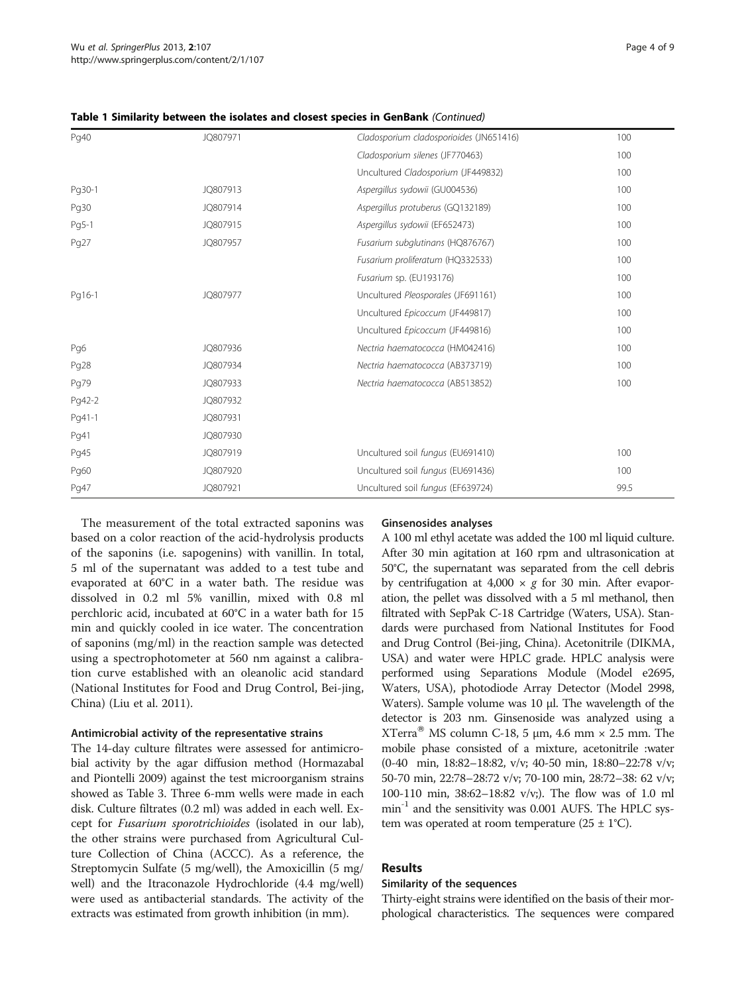| Pg40   | JQ807971 | Cladosporium cladosporioides (JN651416) | 100  |
|--------|----------|-----------------------------------------|------|
|        |          | Cladosporium silenes (JF770463)         | 100  |
|        |          | Uncultured Cladosporium (JF449832)      | 100  |
| Pg30-1 | JQ807913 | Aspergillus sydowii (GU004536)          | 100  |
| Pg30   | JQ807914 | Aspergillus protuberus (GQ132189)       | 100  |
| Pg5-1  | JQ807915 | Aspergillus sydowii (EF652473)          | 100  |
| Pg27   | JQ807957 | Fusarium subglutinans (HQ876767)        | 100  |
|        |          | Fusarium proliferatum (HQ332533)        | 100  |
|        |          | Fusarium sp. (EU193176)                 | 100  |
| Pg16-1 | JQ807977 | Uncultured Pleosporales (JF691161)      | 100  |
|        |          | Uncultured Epicoccum (JF449817)         | 100  |
|        |          | Uncultured Epicoccum (JF449816)         | 100  |
| Pg6    | JQ807936 | Nectria haematococca (HM042416)         | 100  |
| Pg28   | JQ807934 | Nectria haematococca (AB373719)         | 100  |
| Pg79   | JQ807933 | Nectria haematococca (AB513852)         | 100  |
| Pg42-2 | JQ807932 |                                         |      |
| Pg41-1 | JQ807931 |                                         |      |
| Pg41   | JQ807930 |                                         |      |
| Pg45   | JQ807919 | Uncultured soil fungus (EU691410)       | 100  |
| Pg60   | JQ807920 | Uncultured soil fungus (EU691436)       | 100  |
| Pg47   | JQ807921 | Uncultured soil fungus (EF639724)       | 99.5 |

Table 1 Similarity between the isolates and closest species in GenBank (Continued)

The measurement of the total extracted saponins was based on a color reaction of the acid-hydrolysis products of the saponins (i.e. sapogenins) with vanillin. In total, 5 ml of the supernatant was added to a test tube and evaporated at 60°C in a water bath. The residue was dissolved in 0.2 ml 5% vanillin, mixed with 0.8 ml perchloric acid, incubated at 60°C in a water bath for 15 min and quickly cooled in ice water. The concentration of saponins (mg/ml) in the reaction sample was detected using a spectrophotometer at 560 nm against a calibration curve established with an oleanolic acid standard (National Institutes for Food and Drug Control, Bei-jing, China) (Liu et al. [2011\)](#page-7-0).

# Antimicrobial activity of the representative strains

The 14-day culture filtrates were assessed for antimicrobial activity by the agar diffusion method (Hormazabal and Piontelli [2009](#page-7-0)) against the test microorganism strains showed as Table [3.](#page-5-0) Three 6-mm wells were made in each disk. Culture filtrates (0.2 ml) was added in each well. Except for Fusarium sporotrichioides (isolated in our lab), the other strains were purchased from Agricultural Culture Collection of China (ACCC). As a reference, the Streptomycin Sulfate (5 mg/well), the Amoxicillin (5 mg/ well) and the Itraconazole Hydrochloride (4.4 mg/well) were used as antibacterial standards. The activity of the extracts was estimated from growth inhibition (in mm).

#### Ginsenosides analyses

A 100 ml ethyl acetate was added the 100 ml liquid culture. After 30 min agitation at 160 rpm and ultrasonication at 50°C, the supernatant was separated from the cell debris by centrifugation at  $4,000 \times g$  for 30 min. After evaporation, the pellet was dissolved with a 5 ml methanol, then filtrated with SepPak C-18 Cartridge (Waters, USA). Standards were purchased from National Institutes for Food and Drug Control (Bei-jing, China). Acetonitrile (DIKMA, USA) and water were HPLC grade. HPLC analysis were performed using Separations Module (Model e2695, Waters, USA), photodiode Array Detector (Model 2998, Waters). Sample volume was 10 μl. The wavelength of the detector is 203 nm. Ginsenoside was analyzed using a XTerra<sup>®</sup> MS column C-18, 5  $\mu$ m, 4.6 mm × 2.5 mm. The mobile phase consisted of a mixture, acetonitrile :water (0-40 min, 18:82–18:82, v/v; 40-50 min, 18:80–22:78 v/v; 50-70 min, 22:78–28:72 v/v; 70-100 min, 28:72–38: 62 v/v; 100-110 min, 38:62–18:82 v/v;). The flow was of 1.0 ml min<sup>-1</sup> and the sensitivity was 0.001 AUFS. The HPLC system was operated at room temperature  $(25 \pm 1^{\circ}C)$ .

# Results

#### Similarity of the sequences

Thirty-eight strains were identified on the basis of their morphological characteristics. The sequences were compared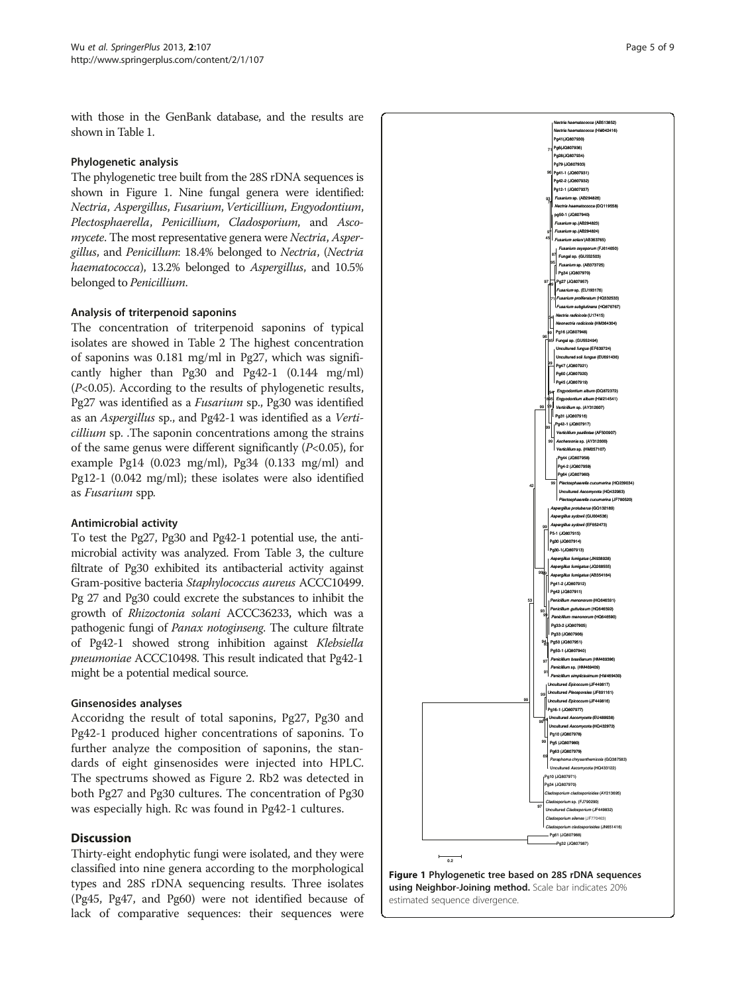with those in the GenBank database, and the results are shown in Table [1.](#page-2-0)

#### Phylogenetic analysis

The phylogenetic tree built from the 28S rDNA sequences is shown in Figure 1. Nine fungal genera were identified: Nectria, Aspergillus, Fusarium, Verticillium, Engyodontium, Plectosphaerella, Penicillium, Cladosporium, and Ascomycete. The most representative genera were Nectria, Aspergillus, and Penicillum: 18.4% belonged to Nectria, (Nectria haematococca), 13.2% belonged to Aspergillus, and 10.5% belonged to Penicillium.

# Analysis of triterpenoid saponins

The concentration of triterpenoid saponins of typical isolates are showed in Table [2](#page-5-0) The highest concentration of saponins was 0.181 mg/ml in Pg27, which was significantly higher than Pg30 and Pg42-1 (0.144 mg/ml) (P<0.05). According to the results of phylogenetic results, Pg27 was identified as a Fusarium sp., Pg30 was identified as an Aspergillus sp., and Pg42-1 was identified as a Verticillium sp. .The saponin concentrations among the strains of the same genus were different significantly  $(P<0.05)$ , for example Pg14 (0.023 mg/ml), Pg34 (0.133 mg/ml) and Pg12-1 (0.042 mg/ml); these isolates were also identified as Fusarium spp.

# Antimicrobial activity

To test the Pg27, Pg30 and Pg42-1 potential use, the antimicrobial activity was analyzed. From Table [3,](#page-5-0) the culture filtrate of Pg30 exhibited its antibacterial activity against Gram-positive bacteria Staphylococcus aureus ACCC10499. Pg 27 and Pg30 could excrete the substances to inhibit the growth of Rhizoctonia solani ACCC36233, which was a pathogenic fungi of Panax notoginseng. The culture filtrate of Pg42-1 showed strong inhibition against Klebsiella pneumoniae ACCC10498. This result indicated that Pg42-1 might be a potential medical source.

# Ginsenosides analyses

Accoridng the result of total saponins, Pg27, Pg30 and Pg42-1 produced higher concentrations of saponins. To further analyze the composition of saponins, the standards of eight ginsenosides were injected into HPLC. The spectrums showed as Figure [2](#page-6-0). Rb2 was detected in both Pg27 and Pg30 cultures. The concentration of Pg30 was especially high. Rc was found in Pg42-1 cultures.

# **Discussion**

Thirty-eight endophytic fungi were isolated, and they were classified into nine genera according to the morphological types and 28S rDNA sequencing results. Three isolates (Pg45, Pg47, and Pg60) were not identified because of lack of comparative sequences: their sequences were

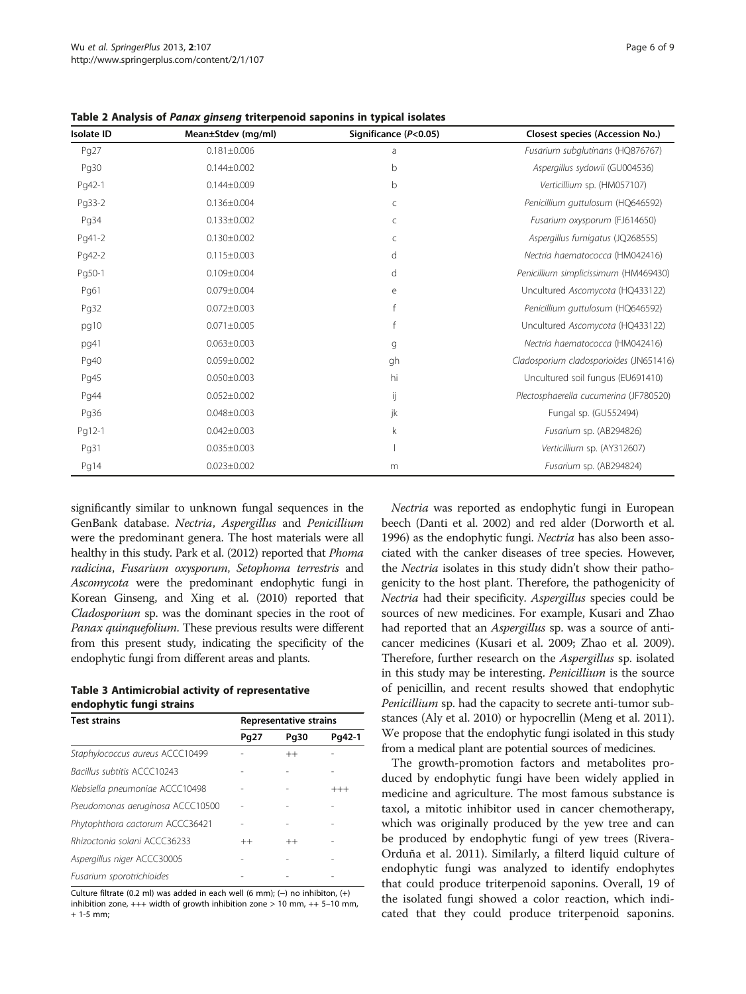| <b>Isolate ID</b> | Mean±Stdev (mg/ml) | Significance $(P<0.05)$ | Closest species (Accession No.)         |
|-------------------|--------------------|-------------------------|-----------------------------------------|
| Pg27              | $0.181 \pm 0.006$  | a                       | Fusarium subglutinans (HQ876767)        |
| Pg30              | $0.144 \pm 0.002$  | b                       | Aspergillus sydowii (GU004536)          |
| Pg42-1            | $0.144 \pm 0.009$  | b                       | Verticillium sp. (HM057107)             |
| Pg33-2            | $0.136 \pm 0.004$  | C                       | Penicillium guttulosum (HQ646592)       |
| Pg34              | $0.133 \pm 0.002$  | C                       | Fusarium oxysporum (FJ614650)           |
| Pg41-2            | $0.130 \pm 0.002$  | C                       | Aspergillus fumigatus (JQ268555)        |
| Pg42-2            | $0.115 \pm 0.003$  | d                       | Nectria haematococca (HM042416)         |
| Pg50-1            | $0.109 \pm 0.004$  | d                       | Penicillium simplicissimum (HM469430)   |
| Pg61              | $0.079 + 0.004$    | е                       | Uncultured Ascomycota (HQ433122)        |
| Pg32              | $0.072 \pm 0.003$  |                         | Penicillium guttulosum (HQ646592)       |
| pg10              | $0.071 \pm 0.005$  |                         | Uncultured Ascomycota (HQ433122)        |
| pg41              | $0.063 \pm 0.003$  | g                       | Nectria haematococca (HM042416)         |
| Pg40              | $0.059 + 0.002$    | gh                      | Cladosporium cladosporioides (JN651416) |
| Pg45              | $0.050 \pm 0.003$  | hi                      | Uncultured soil fungus (EU691410)       |
| Pg44              | $0.052 \pm 0.002$  | ij                      | Plectosphaerella cucumerina (JF780520)  |
| Pg36              | $0.048 \pm 0.003$  | jk                      | Fungal sp. (GU552494)                   |
| Pg12-1            | $0.042 \pm 0.003$  | k                       | Fusarium sp. (AB294826)                 |
| Pg31              | $0.035 \pm 0.003$  |                         | Verticillium sp. (AY312607)             |
| Pg14              | $0.023 \pm 0.002$  | m                       | Fusarium sp. (AB294824)                 |

<span id="page-5-0"></span>Table 2 Analysis of Panax ginseng triterpenoid saponins in typical isolates

significantly similar to unknown fungal sequences in the GenBank database. Nectria, Aspergillus and Penicillium were the predominant genera. The host materials were all healthy in this study. Park et al. [\(2012](#page-7-0)) reported that *Phoma* radicina, Fusarium oxysporum, Setophoma terrestris and Ascomycota were the predominant endophytic fungi in Korean Ginseng, and Xing et al. ([2010\)](#page-8-0) reported that Cladosporium sp. was the dominant species in the root of Panax quinquefolium. These previous results were different from this present study, indicating the specificity of the endophytic fungi from different areas and plants.

| Table 3 Antimicrobial activity of representative |  |
|--------------------------------------------------|--|
| endophytic fungi strains                         |  |

| <b>Test strains</b>              | <b>Representative strains</b> |             |        |
|----------------------------------|-------------------------------|-------------|--------|
|                                  | Pg27                          | <b>Pg30</b> | Pg42-1 |
| Staphylococcus aureus ACCC10499  |                               | $^{++}$     |        |
| Bacillus subtitis ACCC10243      |                               |             |        |
| Klebsiella pneumoniae ACCC10498  |                               |             |        |
| Pseudomonas aeruginosa ACCC10500 |                               |             |        |
| Phytophthora cactorum ACCC36421  |                               |             |        |
| Rhizoctonia solani ACCC36233     | $^{++}$                       | $^{++}$     |        |
| Aspergillus niger ACCC30005      |                               |             |        |
| Fusarium sporotrichioides        |                               |             |        |

Culture filtrate (0.2 ml) was added in each well (6 mm); (−) no inhibiton, (+) inhibition zone,  $++$  width of growth inhibition zone > 10 mm,  $++$  5-10 mm, + 1-5 mm;

Nectria was reported as endophytic fungi in European beech (Danti et al. [2002\)](#page-7-0) and red alder (Dorworth et al. [1996\)](#page-7-0) as the endophytic fungi. Nectria has also been associated with the canker diseases of tree species. However, the Nectria isolates in this study didn't show their pathogenicity to the host plant. Therefore, the pathogenicity of Nectria had their specificity. Aspergillus species could be sources of new medicines. For example, Kusari and Zhao had reported that an Aspergillus sp. was a source of anticancer medicines (Kusari et al. [2009](#page-7-0); Zhao et al. [2009](#page-8-0)). Therefore, further research on the Aspergillus sp. isolated in this study may be interesting. Penicillium is the source of penicillin, and recent results showed that endophytic Penicillium sp. had the capacity to secrete anti-tumor substances (Aly et al. [2010](#page-7-0)) or hypocrellin (Meng et al. [2011](#page-7-0)). We propose that the endophytic fungi isolated in this study from a medical plant are potential sources of medicines.

The growth-promotion factors and metabolites produced by endophytic fungi have been widely applied in medicine and agriculture. The most famous substance is taxol, a mitotic inhibitor used in cancer chemotherapy, which was originally produced by the yew tree and can be produced by endophytic fungi of yew trees (Rivera-Orduña et al. [2011\)](#page-7-0). Similarly, a filterd liquid culture of endophytic fungi was analyzed to identify endophytes that could produce triterpenoid saponins. Overall, 19 of the isolated fungi showed a color reaction, which indicated that they could produce triterpenoid saponins.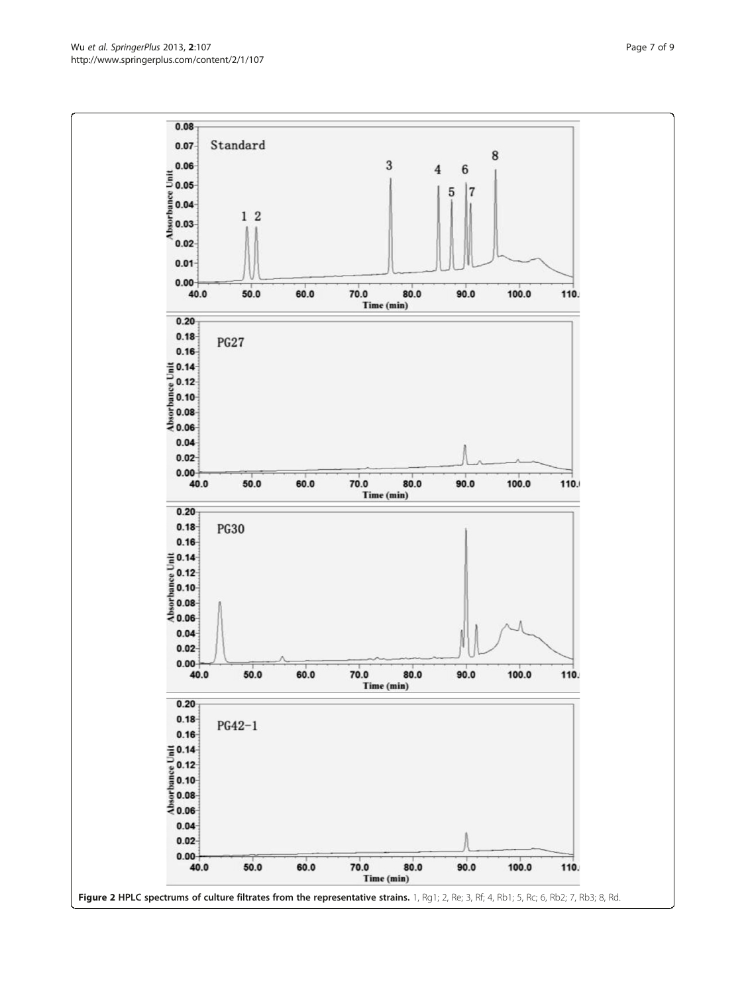<span id="page-6-0"></span>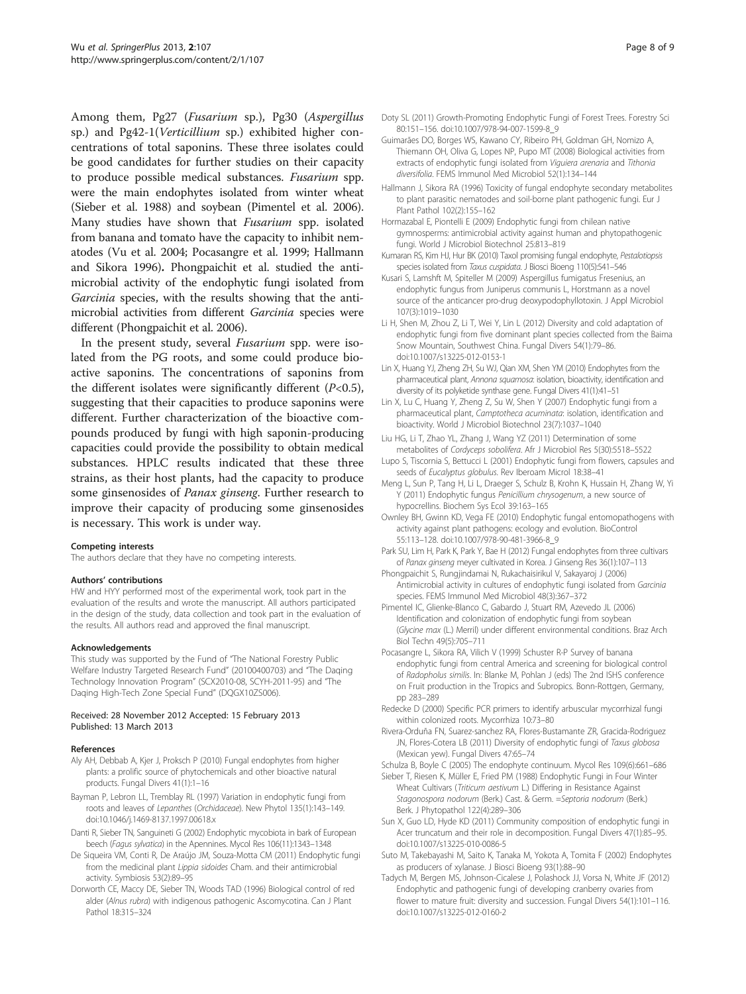<span id="page-7-0"></span>Among them, Pg27 (Fusarium sp.), Pg30 (Aspergillus sp.) and Pg42-1(Verticillium sp.) exhibited higher concentrations of total saponins. These three isolates could be good candidates for further studies on their capacity to produce possible medical substances. Fusarium spp. were the main endophytes isolated from winter wheat (Sieber et al. 1988) and soybean (Pimentel et al. 2006). Many studies have shown that Fusarium spp. isolated from banana and tomato have the capacity to inhibit nematodes (Vu et al. [2004;](#page-8-0) Pocasangre et al. 1999; Hallmann and Sikora 1996). Phongpaichit et al. studied the antimicrobial activity of the endophytic fungi isolated from Garcinia species, with the results showing that the antimicrobial activities from different Garcinia species were different (Phongpaichit et al. 2006).

In the present study, several Fusarium spp. were isolated from the PG roots, and some could produce bioactive saponins. The concentrations of saponins from the different isolates were significantly different  $(P<0.5)$ , suggesting that their capacities to produce saponins were different. Further characterization of the bioactive compounds produced by fungi with high saponin-producing capacities could provide the possibility to obtain medical substances. HPLC results indicated that these three strains, as their host plants, had the capacity to produce some ginsenosides of Panax ginseng. Further research to improve their capacity of producing some ginsenosides is necessary. This work is under way.

#### Competing interests

The authors declare that they have no competing interests.

#### Authors' contributions

HW and HYY performed most of the experimental work, took part in the evaluation of the results and wrote the manuscript. All authors participated in the design of the study, data collection and took part in the evaluation of the results. All authors read and approved the final manuscript.

#### Acknowledgements

This study was supported by the Fund of "The National Forestry Public Welfare Industry Targeted Research Fund" (20100400703) and "The Daqing Technology Innovation Program" (SCX2010-08, SCYH-2011-95) and "The Daqing High-Tech Zone Special Fund" (DQGX10ZS006).

#### Received: 28 November 2012 Accepted: 15 February 2013 Published: 13 March 2013

#### References

- Aly AH, Debbab A, Kjer J, Proksch P (2010) Fungal endophytes from higher plants: a prolific source of phytochemicals and other bioactive natural products. Fungal Divers 41(1):1–16
- Bayman P, Lebron LL, Tremblay RL (1997) Variation in endophytic fungi from roots and leaves of Lepanthes (Orchidaceae). New Phytol 135(1):143–149. doi[:10.1046/j.1469-8137.1997.00618.x](http://dx.doi.org/10.1046/j.1469-8137.1997.00618.x)
- Danti R, Sieber TN, Sanguineti G (2002) Endophytic mycobiota in bark of European beech (Fagus sylvatica) in the Apennines. Mycol Res 106(11):1343–1348
- De Siqueira VM, Conti R, De Araújo JM, Souza-Motta CM (2011) Endophytic fungi from the medicinal plant Lippia sidoides Cham. and their antimicrobial activity. Symbiosis 53(2):89–95
- Dorworth CE, Maccy DE, Sieber TN, Woods TAD (1996) Biological control of red alder (Alnus rubra) with indigenous pathogenic Ascomycotina. Can J Plant Pathol 18:315–324
- Doty SL (2011) Growth-Promoting Endophytic Fungi of Forest Trees. Forestry Sci 80:151–156. doi[:10.1007/978-94-007-1599-8\\_9](http://dx.doi.org/10.1007/978-94-007-1599-8_9)
- Guimarães DO, Borges WS, Kawano CY, Ribeiro PH, Goldman GH, Nomizo A, Thiemann OH, Oliva G, Lopes NP, Pupo MT (2008) Biological activities from extracts of endophytic fungi isolated from Viguiera arenaria and Tithonia diversifolia. FEMS Immunol Med Microbiol 52(1):134–144
- Hallmann J, Sikora RA (1996) Toxicity of fungal endophyte secondary metabolites to plant parasitic nematodes and soil-borne plant pathogenic fungi. Eur J Plant Pathol 102(2):155–162
- Hormazabal E, Piontelli E (2009) Endophytic fungi from chilean native gymnosperms: antimicrobial activity against human and phytopathogenic fungi. World J Microbiol Biotechnol 25:813–819
- Kumaran RS, Kim HJ, Hur BK (2010) Taxol promising fungal endophyte, Pestalotiopsis species isolated from Taxus cuspidata. J Biosci Bioeng 110(5):541-546
- Kusari S, Lamshft M, Spiteller M (2009) Aspergillus fumigatus Fresenius, an endophytic fungus from Juniperus communis L, Horstmann as a novel source of the anticancer pro-drug deoxypodophyllotoxin. J Appl Microbiol 107(3):1019–1030
- Li H, Shen M, Zhou Z, Li T, Wei Y, Lin L (2012) Diversity and cold adaptation of endophytic fungi from five dominant plant species collected from the Baima Snow Mountain, Southwest China. Fungal Divers 54(1):79–86. doi[:10.1007/s13225-012-0153-1](http://dx.doi.org/10.1007/s13225-012-0153-1)
- Lin X, Huang YJ, Zheng ZH, Su WJ, Qian XM, Shen YM (2010) Endophytes from the pharmaceutical plant, Annona squamosa: isolation, bioactivity, identification and diversity of its polyketide synthase gene. Fungal Divers 41(1):41–51
- Lin X, Lu C, Huang Y, Zheng Z, Su W, Shen Y (2007) Endophytic fungi from a pharmaceutical plant, Camptotheca acuminata: isolation, identification and bioactivity. World J Microbiol Biotechnol 23(7):1037–1040
- Liu HG, Li T, Zhao YL, Zhang J, Wang YZ (2011) Determination of some metabolites of Cordyceps sobolifera. Afr J Microbiol Res 5(30):5518–5522
- Lupo S, Tiscornia S, Bettucci L (2001) Endophytic fungi from flowers, capsules and seeds of Eucalyptus globulus. Rev Iberoam Microl 18:38–41
- Meng L, Sun P, Tang H, Li L, Draeger S, Schulz B, Krohn K, Hussain H, Zhang W, Yi Y (2011) Endophytic fungus Penicillium chrysogenum, a new source of hypocrellins. Biochem Sys Ecol 39:163–165
- Ownley BH, Gwinn KD, Vega FE (2010) Endophytic fungal entomopathogens with activity against plant pathogens: ecology and evolution. BioControl 55:113–128. doi[:10.1007/978-90-481-3966-8\\_9](http://dx.doi.org/10.1007/978-90-481-3966-8_9)
- Park SU, Lim H, Park K, Park Y, Bae H (2012) Fungal endophytes from three cultivars of Panax ginseng meyer cultivated in Korea. J Ginseng Res 36(1):107–113
- Phongpaichit S, Rungjindamai N, Rukachaisirikul V, Sakayaroj J (2006) Antimicrobial activity in cultures of endophytic fungi isolated from Garcinia species. FEMS Immunol Med Microbiol 48(3):367–372
- Pimentel IC, Glienke-Blanco C, Gabardo J, Stuart RM, Azevedo JL (2006) Identification and colonization of endophytic fungi from soybean (Glycine max (L.) Merril) under different environmental conditions. Braz Arch Biol Techn 49(5):705–711
- Pocasangre L, Sikora RA, Vilich V (1999) Schuster R-P Survey of banana endophytic fungi from central America and screening for biological control of Radopholus similis. In: Blanke M, Pohlan J (eds) The 2nd ISHS conference on Fruit production in the Tropics and Subropics. Bonn-Rottgen, Germany, pp 283–289
- Redecke D (2000) Specific PCR primers to identify arbuscular mycorrhizal fungi within colonized roots. Mycorrhiza 10:73–80
- Rivera-Orduña FN, Suarez-sanchez RA, Flores-Bustamante ZR, Gracida-Rodriguez JN, Flores-Cotera LB (2011) Diversity of endophytic fungi of Taxus globosa (Mexican yew). Fungal Divers 47:65–74

Schulza B, Boyle C (2005) The endophyte continuum. Mycol Res 109(6):661–686

- Sieber T, Riesen K, Müller E, Fried PM (1988) Endophytic Fungi in Four Winter Wheat Cultivars (Triticum aestivum L.) Differing in Resistance Against Stagonospora nodorum (Berk.) Cast. & Germ. =Septoria nodorum (Berk.) Berk. J Phytopathol 122(4):289–306
- Sun X, Guo LD, Hyde KD (2011) Community composition of endophytic fungi in Acer truncatum and their role in decomposition. Fungal Divers 47(1):85–95. doi[:10.1007/s13225-010-0086-5](http://dx.doi.org/10.1007/s13225-010-0086-5)
- Suto M, Takebayashi M, Saito K, Tanaka M, Yokota A, Tomita F (2002) Endophytes as producers of xylanase. J Biosci Bioeng 93(1):88–90
- Tadych M, Bergen MS, Johnson-Cicalese J, Polashock JJ, Vorsa N, White JF (2012) Endophytic and pathogenic fungi of developing cranberry ovaries from flower to mature fruit: diversity and succession. Fungal Divers 54(1):101–116. doi[:10.1007/s13225-012-0160-2](http://dx.doi.org/10.1007/s13225-012-0160-2)